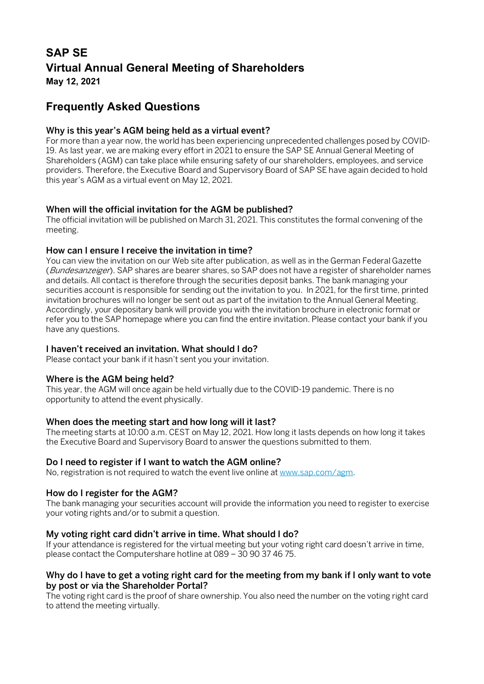# **SAP SE Virtual Annual General Meeting of Shareholders May 12, 2021**

**Frequently Asked Questions**

# Why is this year's AGM being held as a virtual event?

For more than a year now, the world has been experiencing unprecedented challenges posed by COVID-19. As last year, we are making every effort in 2021 to ensure the SAP SE Annual General Meeting of Shareholders (AGM) can take place while ensuring safety of our shareholders, employees, and service providers. Therefore, the Executive Board and Supervisory Board of SAP SE have again decided to hold this year's AGM as a virtual event on May 12, 2021.

## When will the official invitation for the AGM be published?

The official invitation will be published on March 31, 2021. This constitutes the formal convening of the meeting.

## How can I ensure I receive the invitation in time?

You can view the invitation on our Web site after publication, as well as in the German Federal Gazette (Bundesanzeiger). SAP shares are bearer shares, so SAP does not have a register of shareholder names and details. All contact is therefore through the securities deposit banks. The bank managing your securities account is responsible for sending out the invitation to you. In 2021, for the first time, printed invitation brochures will no longer be sent out as part of the invitation to the Annual General Meeting. Accordingly, your depositary bank will provide you with the invitation brochure in electronic format or refer you to the SAP homepage where you can find the entire invitation. Please contact your bank if you have any questions.

# I haven't received an invitation. What should I do?

Please contact your bank if it hasn't sent you your invitation.

## Where is the AGM being held?

This year, the AGM will once again be held virtually due to the COVID-19 pandemic. There is no opportunity to attend the event physically.

## When does the meeting start and how long will it last?

The meeting starts at 10:00 a.m. CEST on May 12, 2021. How long it lasts depends on how long it takes the Executive Board and Supervisory Board to answer the questions submitted to them.

# Do I need to register if I want to watch the AGM online?

No, registration is not required to watch the event live online a[t www.sap.com/agm.](http://www.sap.com/agm)

## How do I register for the AGM?

The bank managing your securities account will provide the information you need to register to exercise your voting rights and/or to submit a question.

## My voting right card didn't arrive in time. What should I do?

If your attendance is registered for the virtual meeting but your voting right card doesn't arrive in time, please contact the Computershare hotline at 089 – 30 90 37 46 75.

## Why do I have to get a voting right card for the meeting from my bank if I only want to vote by post or via the Shareholder Portal?

The voting right card is the proof of share ownership. You also need the number on the voting right card to attend the meeting virtually.